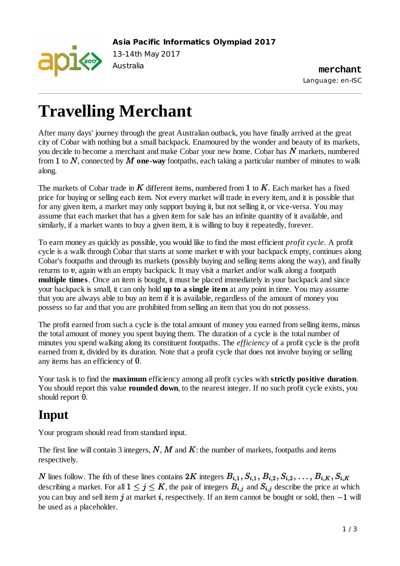

**Asia Pacific Informatics Olympiad 2017**

13-14th May 2017

Australia **merchant** Language: en-ISC

# **Travelling Merchant**

After many days' journey through the great Australian outback, you have finally arrived at the great city of Cobar with nothing but a small backpack. Enamoured by the wonder and beauty of its markets, you decide to become a merchant and make Cobar your new home. Cobar has  $\overline{N}$  markets, numbered from 1 to N, connected by M one-way footpaths, each taking a particular number of minutes to walk along.

The markets of Cobar trade in  $K$  different items, numbered from 1 to  $K$ . Each market has a fixed price for buying or selling each item. Not every market will trade in every item, and it is possible that for any given item, a market may only support buying it, but not selling it, or vice-versa. You may assume that each market that has a given item for sale has an infinite quantity of it available, and similarly, if a market wants to buy a given item, it is willing to buy it repeatedly, forever.

To earn money as quickly as possible, you would like to find the most efficient *profit cycle*. A profit cycle is a walk through Cobar that starts at some market  $v$  with your backpack empty, continues along Cobar's footpaths and through its markets (possibly buying and selling items along the way), and finally returns to  $v$ , again with an empty backpack. It may visit a market and/or walk along a footpath **multiple times**. Once an item is bought, it must be placed immediately in your backpack and since your backpack is small, it can only hold **up to a single item** at any point in time. You may assume that you are always able to buy an item if it is available, regardless of the amount of money you possess so far and that you are prohibited from selling an item that you do not possess.

The profit earned from such a cycle is the total amount of money you earned from selling items, minus the total amount of money you spent buying them. The duration of a cycle is the total number of minutes you spend walking along its constituent footpaths. The *efficiency* of a profit cycle is the profit earned from it, divided by its duration. Note that a profit cycle that does not involve buying or selling any items has an efficiency of  $0$ .

Your task is to find the **maximum** efficiency among all profit cycles with **strictly positive duration**. You should report this value **rounded down**, to the nearest integer. If no such profit cycle exists, you should report 0.

# **Input**

Your program should read from standard input.

The first line will contain 3 integers,  $N$ ,  $M$  and  $K$ : the number of markets, footpaths and items respectively.

N lines follow. The *i*th of these lines contains  $2K$  integers  $B_{i,1}, S_{i,1}, B_{i,2}, S_{i,2}, \ldots, B_{i,K}, S_{i,K}$ describing a market. For all  $1 \leq j \leq K$ , the pair of integers  $B_{i,j}$  and  $S_{i,j}$  describe the price at which you can buy and sell item  $\bm{j}$  at market  $\bm{i}$ , respectively. If an item cannot be bought or sold, then  $-\bm{1}$  will be used as a placeholder.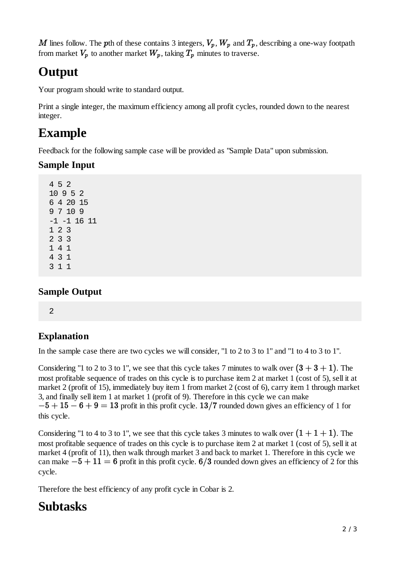M lines follow. The pth of these contains 3 integers,  $V_p$ ,  $W_p$  and  $T_p$ , describing a one-way footpath from market  $V_p$  to another market  $W_p$ , taking  $T_p$  minutes to traverse.

### **Output**

Your program should write to standard output.

Print a single integer, the maximum efficiency among all profit cycles, rounded down to the nearest integer.

### **Example**

Feedback for the following sample case will be provided as "Sample Data" upon submission.

#### **Sample Input**

### **Sample Output**

2

### **Explanation**

In the sample case there are two cycles we will consider, "1 to 2 to 3 to 1" and "1 to 4 to 3 to 1".

Considering "1 to 2 to 3 to 1", we see that this cycle takes 7 minutes to walk over  $(3 + 3 + 1)$ . The most profitable sequence of trades on this cycle is to purchase item 2 at market 1 (cost of 5), sell it at market 2 (profit of 15), immediately buy item 1 from market 2 (cost of 6), carry item 1 through market 3, and finally sell item 1 at market 1 (profit of 9). Therefore in this cycle we can make  $p-5+15-6+9=13$  profit in this profit cycle.  $13/7$  rounded down gives an efficiency of 1 for this cycle.

Considering "1 to 4 to 3 to 1", we see that this cycle takes 3 minutes to walk over  $(1 + 1 + 1)$ . The most profitable sequence of trades on this cycle is to purchase item 2 at market 1 (cost of 5), sell it at market 4 (profit of 11), then walk through market 3 and back to market 1. Therefore in this cycle we can make  $-5+11=6$  profit in this profit cycle. 6/3 rounded down gives an efficiency of 2 for this cycle.

Therefore the best efficiency of any profit cycle in Cobar is 2.

# **Subtasks**